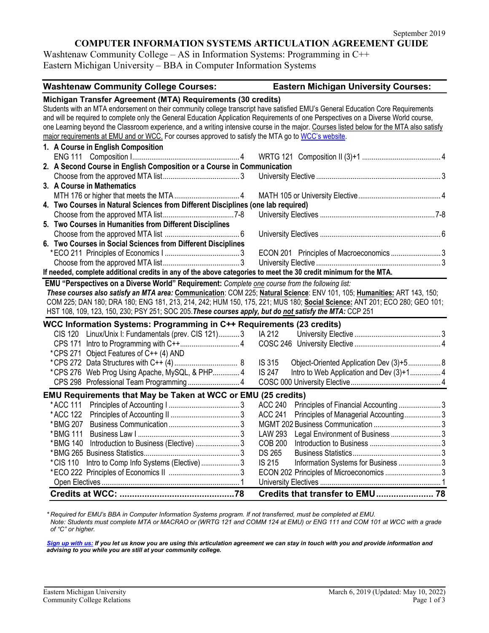#### **COMPUTER INFORMATION SYSTEMS ARTICULATION AGREEMENT GUIDE**

Washtenaw Community College – AS in Information Systems: Programming in C++ Eastern Michigan University – BBA in Computer Information Systems

| <b>Washtenaw Community College Courses:</b>                                                                                              | <b>Eastern Michigan University Courses:</b>               |  |  |  |
|------------------------------------------------------------------------------------------------------------------------------------------|-----------------------------------------------------------|--|--|--|
| Michigan Transfer Agreement (MTA) Requirements (30 credits)                                                                              |                                                           |  |  |  |
| Students with an MTA endorsement on their community college transcript have satisfied EMU's General Education Core Requirements          |                                                           |  |  |  |
| and will be required to complete only the General Education Application Requirements of one Perspectives on a Diverse World course,      |                                                           |  |  |  |
| one Learning beyond the Classroom experience, and a writing intensive course in the major. Courses listed below for the MTA also satisfy |                                                           |  |  |  |
| major requirements at EMU and or WCC. For courses approved to satisfy the MTA go to WCC's website.                                       |                                                           |  |  |  |
| 1. A Course in English Composition                                                                                                       |                                                           |  |  |  |
|                                                                                                                                          |                                                           |  |  |  |
| 2. A Second Course in English Composition or a Course in Communication                                                                   |                                                           |  |  |  |
|                                                                                                                                          |                                                           |  |  |  |
| 3. A Course in Mathematics                                                                                                               |                                                           |  |  |  |
|                                                                                                                                          |                                                           |  |  |  |
| 4. Two Courses in Natural Sciences from Different Disciplines (one lab required)                                                         |                                                           |  |  |  |
|                                                                                                                                          |                                                           |  |  |  |
| 5. Two Courses in Humanities from Different Disciplines                                                                                  |                                                           |  |  |  |
|                                                                                                                                          |                                                           |  |  |  |
| 6. Two Courses in Social Sciences from Different Disciplines                                                                             |                                                           |  |  |  |
|                                                                                                                                          | ECON 201 Principles of Macroeconomics 3                   |  |  |  |
|                                                                                                                                          |                                                           |  |  |  |
| If needed, complete additional credits in any of the above categories to meet the 30 credit minimum for the MTA.                         |                                                           |  |  |  |
| EMU "Perspectives on a Diverse World" Requirement: Complete one course from the following list:                                          |                                                           |  |  |  |
| These courses also satisfy an MTA area: Communication: COM 225; Natural Science: ENV 101, 105; Humanities: ART 143, 150;                 |                                                           |  |  |  |
| COM 225; DAN 180; DRA 180; ENG 181, 213, 214, 242; HUM 150, 175, 221; MUS 180; Social Science: ANT 201; ECO 280; GEO 101;                |                                                           |  |  |  |
| HST 108, 109, 123, 150, 230; PSY 251; SOC 205. These courses apply, but do not satisfy the MTA: CCP 251                                  |                                                           |  |  |  |
| WCC Information Systems: Programming in C++ Requirements (23 credits)                                                                    |                                                           |  |  |  |
| CIS 120 Linux/Unix I: Fundamentals (prev. CIS 121)3                                                                                      | IA 212                                                    |  |  |  |
|                                                                                                                                          |                                                           |  |  |  |
| *CPS 271 Object Features of C++ (4) AND                                                                                                  |                                                           |  |  |  |
|                                                                                                                                          | IS 315<br>Object-Oriented Application Dev (3)+5 8         |  |  |  |
| *CPS 276 Web Prog Using Apache, MySQL, & PHP 4                                                                                           | Intro to Web Application and Dev (3)+1 4<br><b>IS 247</b> |  |  |  |
| CPS 298 Professional Team Programming 4                                                                                                  |                                                           |  |  |  |
| EMU Requirements that May be Taken at WCC or EMU (25 credits)                                                                            |                                                           |  |  |  |
| *ACC 111                                                                                                                                 | <b>ACC 240</b><br>Principles of Financial Accounting3     |  |  |  |
| *ACC 122                                                                                                                                 | <b>ACC 241</b><br>Principles of Managerial Accounting 3   |  |  |  |
| *BMG 207                                                                                                                                 |                                                           |  |  |  |
| *BMG 111                                                                                                                                 | <b>LAW 293</b>                                            |  |  |  |
| Introduction to Business (Elective) 3<br>* BMG 140                                                                                       | <b>COB 200</b>                                            |  |  |  |
|                                                                                                                                          | <b>DS 265</b>                                             |  |  |  |
| *CIS 110 Intro to Comp Info Systems (Elective)  3                                                                                        | IS 215<br>Information Systems for Business  3             |  |  |  |
|                                                                                                                                          | ECON 202 Principles of Microeconomics 3                   |  |  |  |
|                                                                                                                                          |                                                           |  |  |  |
|                                                                                                                                          | Credits that transfer to EMU 78                           |  |  |  |
|                                                                                                                                          |                                                           |  |  |  |

*\* Required for EMU's BBA in Computer Information Systems program. If not transferred, must be completed at EMU. Note: Students must complete MTA or MACRAO or (WRTG 121 and COMM 124 at EMU) or ENG 111 and COM 101 at WCC with a grade of "C" or higher.*

*[Sign up with us:](https://www.emich.edu/ccr/articulation-agreements/signup.php) If you let us know you are using this articulation agreement we can stay in touch with you and provide information and advising to you while you are still at your community college.*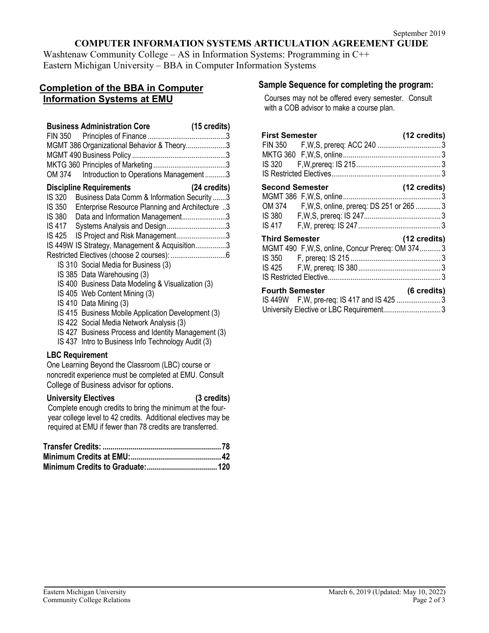## **COMPUTER INFORMATION SYSTEMS ARTICULATION AGREEMENT GUIDE**

Washtenaw Community College – AS in Information Systems: Programming in C++ Eastern Michigan University – BBA in Computer Information Systems

## **Completion of the BBA in Computer Information Systems at EMU**

| MGMT 386 Organizational Behavior & Theory3<br>Introduction to Operations Management3<br>OM 374                                                                                                                                                                                                                                                                                                                                                                                                                                                                                                                                                                                                                                                           |  |
|----------------------------------------------------------------------------------------------------------------------------------------------------------------------------------------------------------------------------------------------------------------------------------------------------------------------------------------------------------------------------------------------------------------------------------------------------------------------------------------------------------------------------------------------------------------------------------------------------------------------------------------------------------------------------------------------------------------------------------------------------------|--|
| <b>Discipline Requirements</b><br>(24 credits)<br>Business Data Comm & Information Security 3<br>IS 320<br>IS 350<br>Enterprise Resource Planning and Architecture 3<br>IS 380 Data and Information Management3<br>IS 417 Systems Analysis and Design3<br>IS 425 IS Project and Risk Management3<br>IS 449W IS Strategy, Management & Acquisition3<br>IS 310 Social Media for Business (3)<br>IS 385 Data Warehousing (3)<br>IS 400 Business Data Modeling & Visualization (3)<br>IS 405 Web Content Mining (3)<br>IS 410 Data Mining (3)<br>IS 415 Business Mobile Application Development (3)<br>IS 422 Social Media Network Analysis (3)<br>IS 427 Business Process and Identity Management (3)<br>IS 437 Intro to Business Info Technology Audit (3) |  |
| <b>LBC Requirement</b><br>One Learning Beyond the Classroom (LBC) course or<br>noncredit experience must be completed at EMU. Consult<br>College of Business advisor for options.                                                                                                                                                                                                                                                                                                                                                                                                                                                                                                                                                                        |  |
| <b>University Electives</b><br>(3 credits)<br>Complete enough credits to bring the minimum at the four-<br>year college level to 42 credits. Additional electives may be<br>required at EMU if fewer than 78 credits are transferred.                                                                                                                                                                                                                                                                                                                                                                                                                                                                                                                    |  |
|                                                                                                                                                                                                                                                                                                                                                                                                                                                                                                                                                                                                                                                                                                                                                          |  |

**Minimum Credits to Graduate:...................................120**

# **Sample Sequence for completing the program:**

Courses may not be offered every semester. Consult with a COB advisor to make a course plan.

| <b>First Semester</b>  |                                                  | (12 credits)           |
|------------------------|--------------------------------------------------|------------------------|
|                        |                                                  |                        |
|                        |                                                  |                        |
|                        |                                                  |                        |
|                        |                                                  |                        |
| <b>Second Semester</b> |                                                  | $(12 \text{ credits})$ |
|                        |                                                  |                        |
|                        | OM 374 F, W, S, online, prereq: DS 251 or 265  3 |                        |
|                        |                                                  |                        |
|                        |                                                  |                        |
| <b>Third Semester</b>  |                                                  | (12 credits)           |
|                        | MGMT 490 F, W, S, online, Concur Prereq: OM 3743 |                        |
|                        |                                                  |                        |
|                        |                                                  |                        |
|                        |                                                  |                        |
| <b>Fourth Semester</b> |                                                  | (6 credits)            |
|                        | IS 449W F, W, pre-req: IS 417 and IS 425 3       |                        |
|                        | University Elective or LBC Requirement 3         |                        |